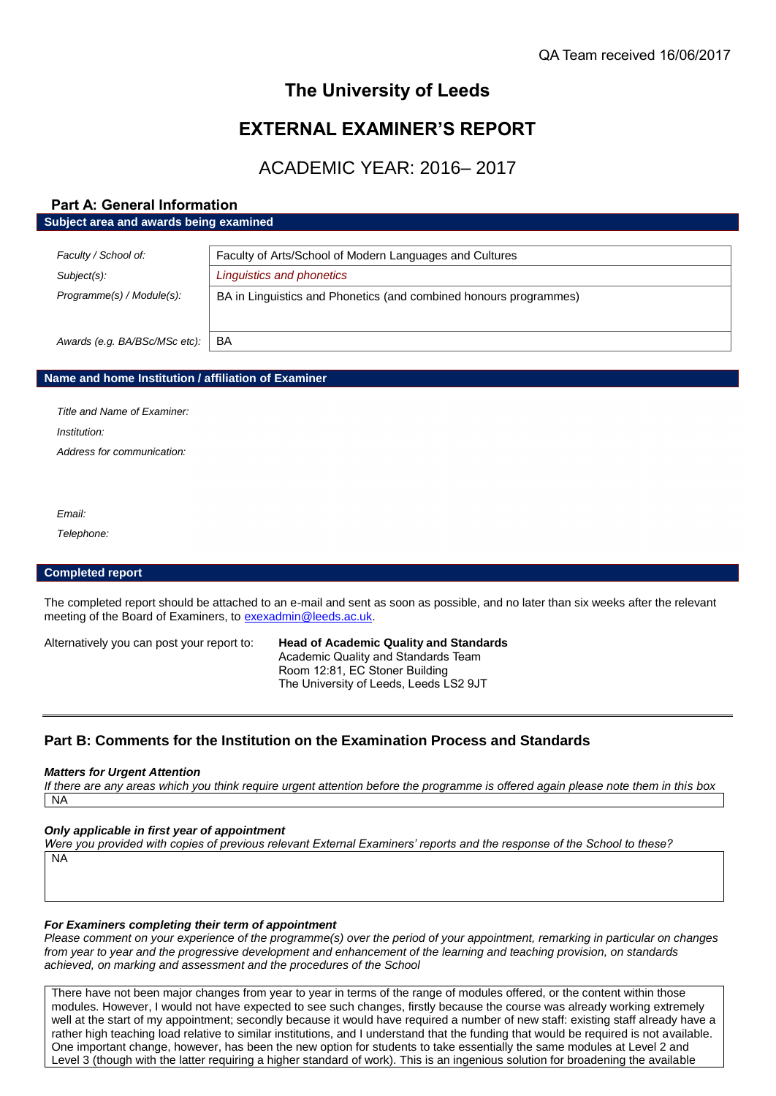# **The University of Leeds**

# **EXTERNAL EXAMINER'S REPORT**

# ACADEMIC YEAR: 2016– 2017

# **Part A: General Information Subject area and awards being examined**

| Faculty / School of:          | Faculty of Arts/School of Modern Languages and Cultures           |
|-------------------------------|-------------------------------------------------------------------|
| Subject(s):                   | Linguistics and phonetics                                         |
| Programme(s) / Module(s):     | BA in Linguistics and Phonetics (and combined honours programmes) |
| Awards (e.g. BA/BSc/MSc etc): | BA                                                                |

# **Name and home Institution / affiliation of Examiner**

*Title and Name of Examiner: Institution: Address for communication:*

*Email:*

*Telephone:*

# **Completed report**

The completed report should be attached to an e-mail and sent as soon as possible, and no later than six weeks after the relevant meeting of the Board of Examiners, to [exexadmin@leeds.ac.uk.](mailto:exexadmin@leeds.ac.uk)

Alternatively you can post your report to: **Head of Academic Quality and Standards** Academic Quality and Standards Team Room 12:81, EC Stoner Building The University of Leeds, Leeds LS2 9JT

# **Part B: Comments for the Institution on the Examination Process and Standards**

#### *Matters for Urgent Attention*

*If there are any areas which you think require urgent attention before the programme is offered again please note them in this box* NA

# *Only applicable in first year of appointment*

*Were you provided with copies of previous relevant External Examiners' reports and the response of the School to these?*  NA

#### *For Examiners completing their term of appointment*

*Please comment on your experience of the programme(s) over the period of your appointment, remarking in particular on changes from year to year and the progressive development and enhancement of the learning and teaching provision, on standards achieved, on marking and assessment and the procedures of the School*

There have not been major changes from year to year in terms of the range of modules offered, or the content within those modules. However, I would not have expected to see such changes, firstly because the course was already working extremely well at the start of my appointment; secondly because it would have required a number of new staff: existing staff already have a rather high teaching load relative to similar institutions, and I understand that the funding that would be required is not available. One important change, however, has been the new option for students to take essentially the same modules at Level 2 and Level 3 (though with the latter requiring a higher standard of work). This is an ingenious solution for broadening the available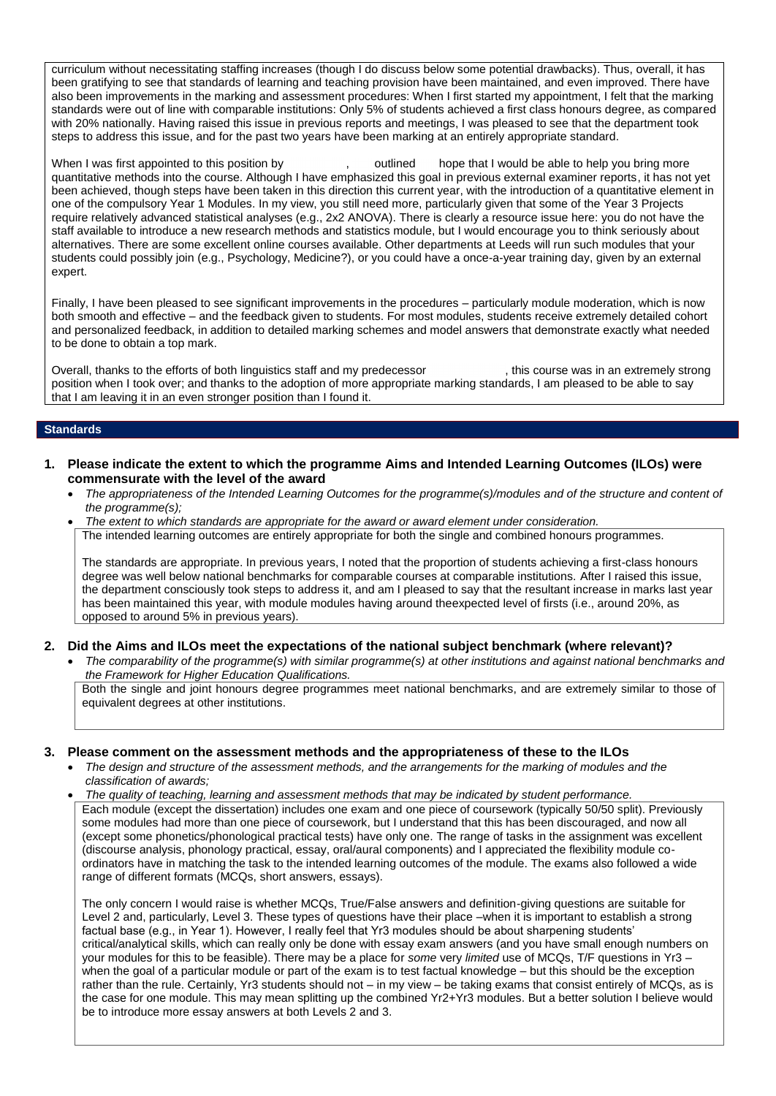curriculum without necessitating staffing increases (though I do discuss below some potential drawbacks). Thus, overall, it has been gratifying to see that standards of learning and teaching provision have been maintained, and even improved. There have also been improvements in the marking and assessment procedures: When I first started my appointment, I felt that the marking standards were out of line with comparable institutions: Only 5% of students achieved a first class honours degree, as compared with 20% nationally. Having raised this issue in previous reports and meetings, I was pleased to see that the department took steps to address this issue, and for the past two years have been marking at an entirely appropriate standard.

When I was first appointed to this position by , outlined hope that I would be able to help you bring more quantitative methods into the course. Although I have emphasized this goal in previous external examiner reports, it has not yet been achieved, though steps have been taken in this direction this current year, with the introduction of a quantitative element in one of the compulsory Year 1 Modules. In my view, you still need more, particularly given that some of the Year 3 Projects require relatively advanced statistical analyses (e.g., 2x2 ANOVA). There is clearly a resource issue here: you do not have the staff available to introduce a new research methods and statistics module, but I would encourage you to think seriously about alternatives. There are some excellent online courses available. Other departments at Leeds will run such modules that your students could possibly join (e.g., Psychology, Medicine?), or you could have a once-a-year training day, given by an external expert.

Finally, I have been pleased to see significant improvements in the procedures – particularly module moderation, which is now both smooth and effective – and the feedback given to students. For most modules, students receive extremely detailed cohort and personalized feedback, in addition to detailed marking schemes and model answers that demonstrate exactly what needed to be done to obtain a top mark.

Overall, thanks to the efforts of both linguistics staff and my predecessor , this course was in an extremely strong position when I took over; and thanks to the adoption of more appropriate marking standards, I am pleased to be able to say that I am leaving it in an even stronger position than I found it.

#### **Standards**

- **1. Please indicate the extent to which the programme Aims and Intended Learning Outcomes (ILOs) were commensurate with the level of the award**
	- *The appropriateness of the Intended Learning Outcomes for the programme(s)/modules and of the structure and content of the programme(s);*
	- *The extent to which standards are appropriate for the award or award element under consideration.* The intended learning outcomes are entirely appropriate for both the single and combined honours programmes.

The standards are appropriate. In previous years, I noted that the proportion of students achieving a first-class honours degree was well below national benchmarks for comparable courses at comparable institutions. After I raised this issue, the department consciously took steps to address it, and am I pleased to say that the resultant increase in marks last year has been maintained this year, with module modules having around theexpected level of firsts (i.e., around 20%, as opposed to around 5% in previous years).

#### **2. Did the Aims and ILOs meet the expectations of the national subject benchmark (where relevant)?**

 *The comparability of the programme(s) with similar programme(s) at other institutions and against national benchmarks and the Framework for Higher Education Qualifications.*

Both the single and joint honours degree programmes meet national benchmarks, and are extremely similar to those of equivalent degrees at other institutions.

# **3. Please comment on the assessment methods and the appropriateness of these to the ILOs**

 *The design and structure of the assessment methods, and the arrangements for the marking of modules and the classification of awards;* 

 *The quality of teaching, learning and assessment methods that may be indicated by student performance.* Each module (except the dissertation) includes one exam and one piece of coursework (typically 50/50 split). Previously some modules had more than one piece of coursework, but I understand that this has been discouraged, and now all (except some phonetics/phonological practical tests) have only one. The range of tasks in the assignment was excellent (discourse analysis, phonology practical, essay, oral/aural components) and I appreciated the flexibility module coordinators have in matching the task to the intended learning outcomes of the module. The exams also followed a wide range of different formats (MCQs, short answers, essays).

The only concern I would raise is whether MCQs, True/False answers and definition-giving questions are suitable for Level 2 and, particularly, Level 3. These types of questions have their place –when it is important to establish a strong factual base (e.g., in Year 1). However, I really feel that Yr3 modules should be about sharpening students' critical/analytical skills, which can really only be done with essay exam answers (and you have small enough numbers on your modules for this to be feasible). There may be a place for *some* very *limited* use of MCQs, T/F questions in Yr3 – when the goal of a particular module or part of the exam is to test factual knowledge – but this should be the exception rather than the rule. Certainly, Yr3 students should not – in my view – be taking exams that consist entirely of MCQs, as is the case for one module. This may mean splitting up the combined Yr2+Yr3 modules. But a better solution I believe would be to introduce more essay answers at both Levels 2 and 3.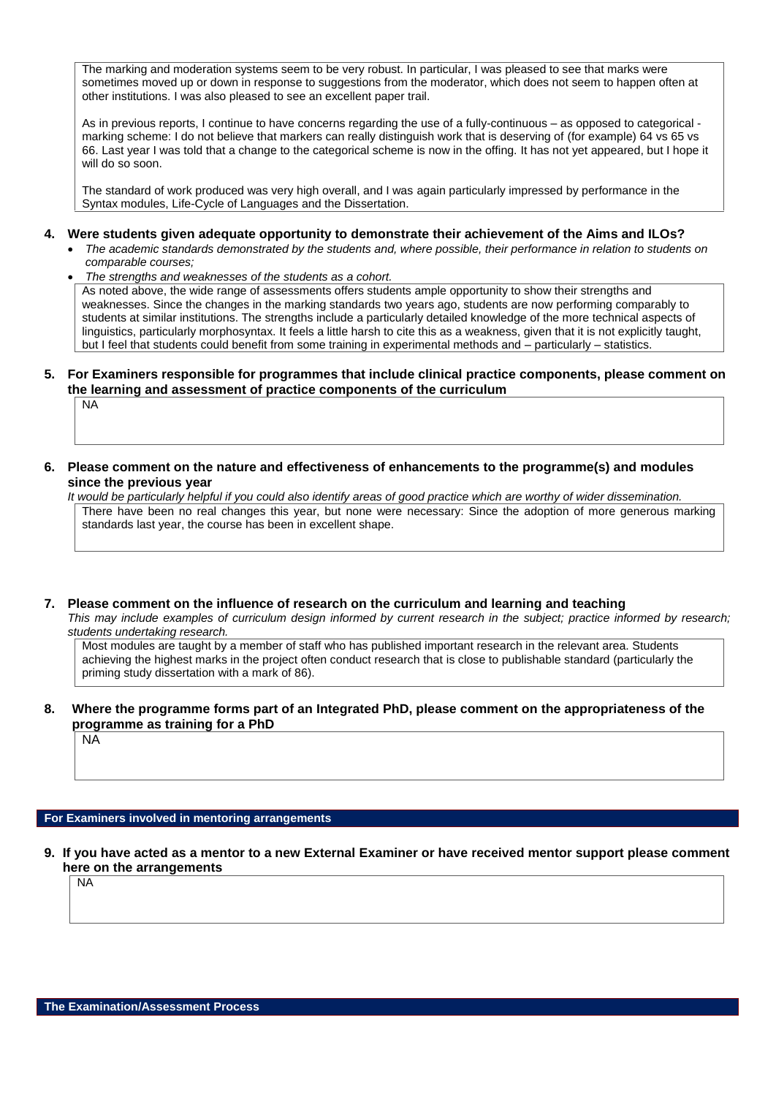The marking and moderation systems seem to be very robust. In particular, I was pleased to see that marks were sometimes moved up or down in response to suggestions from the moderator, which does not seem to happen often at other institutions. I was also pleased to see an excellent paper trail.

As in previous reports, I continue to have concerns regarding the use of a fully-continuous – as opposed to categorical marking scheme: I do not believe that markers can really distinguish work that is deserving of (for example) 64 vs 65 vs 66. Last year I was told that a change to the categorical scheme is now in the offing. It has not yet appeared, but I hope it will do so soon.

The standard of work produced was very high overall, and I was again particularly impressed by performance in the Syntax modules, Life-Cycle of Languages and the Dissertation.

#### **4. Were students given adequate opportunity to demonstrate their achievement of the Aims and ILOs?**

- The academic standards demonstrated by the students and, where possible, their performance in relation to students on *comparable courses;*
- *The strengths and weaknesses of the students as a cohort.*

As noted above, the wide range of assessments offers students ample opportunity to show their strengths and weaknesses. Since the changes in the marking standards two years ago, students are now performing comparably to students at similar institutions. The strengths include a particularly detailed knowledge of the more technical aspects of linguistics, particularly morphosyntax. It feels a little harsh to cite this as a weakness, given that it is not explicitly taught, but I feel that students could benefit from some training in experimental methods and – particularly – statistics.

# **5. For Examiners responsible for programmes that include clinical practice components, please comment on the learning and assessment of practice components of the curriculum**

NA

**6. Please comment on the nature and effectiveness of enhancements to the programme(s) and modules since the previous year**

*It would be particularly helpful if you could also identify areas of good practice which are worthy of wider dissemination.*  There have been no real changes this year, but none were necessary: Since the adoption of more generous marking standards last year, the course has been in excellent shape.

**7. Please comment on the influence of research on the curriculum and learning and teaching**

*This may include examples of curriculum design informed by current research in the subject; practice informed by research; students undertaking research.* 

Most modules are taught by a member of staff who has published important research in the relevant area. Students achieving the highest marks in the project often conduct research that is close to publishable standard (particularly the priming study dissertation with a mark of 86).

# **8. Where the programme forms part of an Integrated PhD, please comment on the appropriateness of the programme as training for a PhD**

NA

# **For Examiners involved in mentoring arrangements**

**9. If you have acted as a mentor to a new External Examiner or have received mentor support please comment here on the arrangements** NA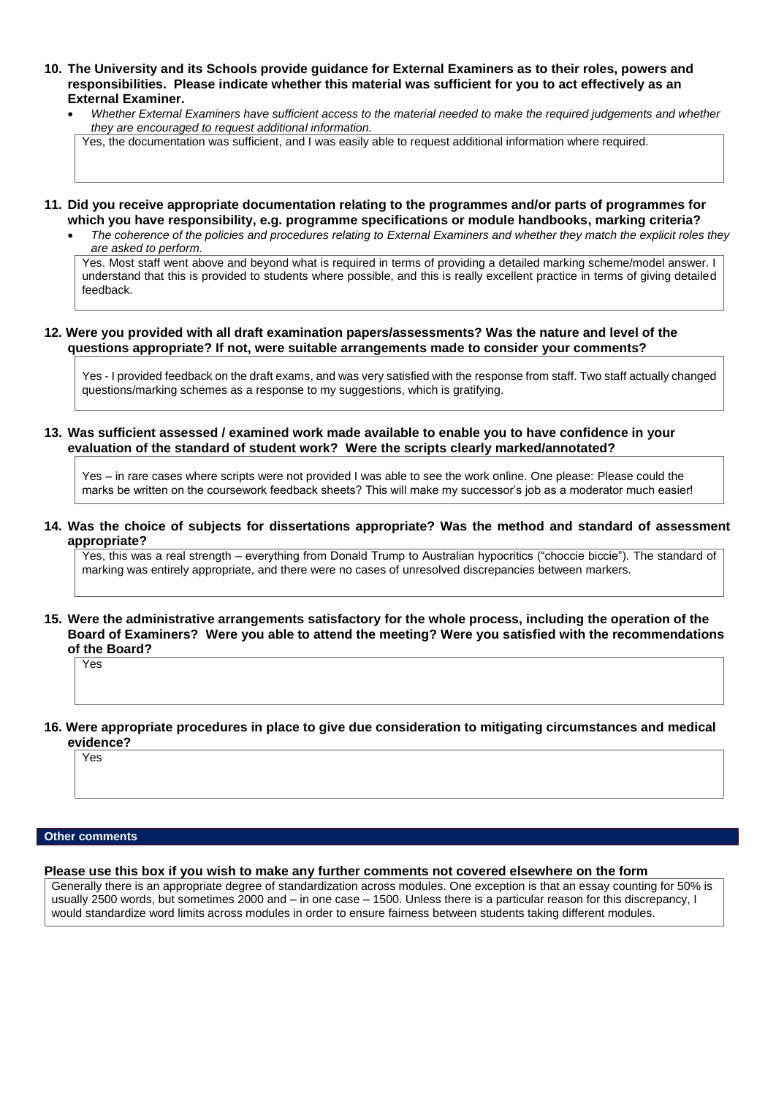- **10. The University and its Schools provide guidance for External Examiners as to their roles, powers and responsibilities. Please indicate whether this material was sufficient for you to act effectively as an External Examiner.**
	- *Whether External Examiners have sufficient access to the material needed to make the required judgements and whether they are encouraged to request additional information.*

Yes, the documentation was sufficient, and I was easily able to request additional information where required.

- **11. Did you receive appropriate documentation relating to the programmes and/or parts of programmes for which you have responsibility, e.g. programme specifications or module handbooks, marking criteria?**
	- *The coherence of the policies and procedures relating to External Examiners and whether they match the explicit roles they are asked to perform.*

Yes. Most staff went above and beyond what is required in terms of providing a detailed marking scheme/model answer. I understand that this is provided to students where possible, and this is really excellent practice in terms of giving detailed feedback.

#### **12. Were you provided with all draft examination papers/assessments? Was the nature and level of the questions appropriate? If not, were suitable arrangements made to consider your comments?**

Yes - I provided feedback on the draft exams, and was very satisfied with the response from staff. Two staff actually changed questions/marking schemes as a response to my suggestions, which is gratifying.

# **13. Was sufficient assessed / examined work made available to enable you to have confidence in your evaluation of the standard of student work? Were the scripts clearly marked/annotated?**

Yes – in rare cases where scripts were not provided I was able to see the work online. One please: Please could the marks be written on the coursework feedback sheets? This will make my successor's job as a moderator much easier!

**14. Was the choice of subjects for dissertations appropriate? Was the method and standard of assessment appropriate?**

Yes, this was a real strength – everything from Donald Trump to Australian hypocritics ("choccie biccie"). The standard of marking was entirely appropriate, and there were no cases of unresolved discrepancies between markers.

#### **15. Were the administrative arrangements satisfactory for the whole process, including the operation of the Board of Examiners? Were you able to attend the meeting? Were you satisfied with the recommendations of the Board?**

Yes

**16. Were appropriate procedures in place to give due consideration to mitigating circumstances and medical evidence?**

Yes

# **Other comments**

# **Please use this box if you wish to make any further comments not covered elsewhere on the form**

Generally there is an appropriate degree of standardization across modules. One exception is that an essay counting for 50% is usually 2500 words, but sometimes 2000 and – in one case – 1500. Unless there is a particular reason for this discrepancy, I would standardize word limits across modules in order to ensure fairness between students taking different modules.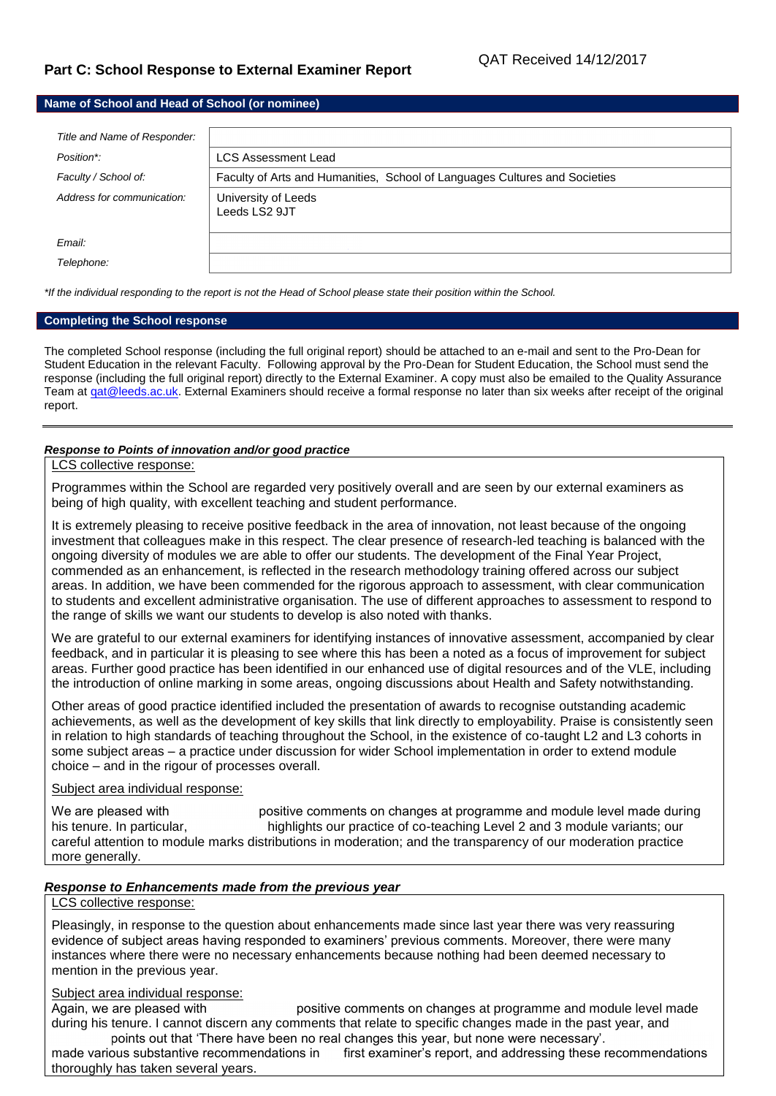# **Part C: School Response to External Examiner Report**

# **Name of School and Head of School (or nominee)**

| Title and Name of Responder: |                                                                            |
|------------------------------|----------------------------------------------------------------------------|
| Position*:                   | <b>LCS Assessment Lead</b>                                                 |
| Faculty / School of:         | Faculty of Arts and Humanities, School of Languages Cultures and Societies |
| Address for communication:   | University of Leeds<br>Leeds LS2 9JT                                       |
| Email:                       |                                                                            |
| Telephone:                   |                                                                            |

*\*If the individual responding to the report is not the Head of School please state their position within the School.*

#### **Completing the School response**

The completed School response (including the full original report) should be attached to an e-mail and sent to the Pro-Dean for Student Education in the relevant Faculty. Following approval by the Pro-Dean for Student Education, the School must send the response (including the full original report) directly to the External Examiner. A copy must also be emailed to the Quality Assurance Team at gat@leeds.ac.uk. External Examiners should receive a formal response no later than six weeks after receipt of the original report.

# *Response to Points of innovation and/or good practice*

# LCS collective response:

Programmes within the School are regarded very positively overall and are seen by our external examiners as being of high quality, with excellent teaching and student performance.

It is extremely pleasing to receive positive feedback in the area of innovation, not least because of the ongoing investment that colleagues make in this respect. The clear presence of research-led teaching is balanced with the ongoing diversity of modules we are able to offer our students. The development of the Final Year Project, commended as an enhancement, is reflected in the research methodology training offered across our subject areas. In addition, we have been commended for the rigorous approach to assessment, with clear communication to students and excellent administrative organisation. The use of different approaches to assessment to respond to the range of skills we want our students to develop is also noted with thanks.

We are grateful to our external examiners for identifying instances of innovative assessment, accompanied by clear feedback, and in particular it is pleasing to see where this has been a noted as a focus of improvement for subject areas. Further good practice has been identified in our enhanced use of digital resources and of the VLE, including the introduction of online marking in some areas, ongoing discussions about Health and Safety notwithstanding.

Other areas of good practice identified included the presentation of awards to recognise outstanding academic achievements, as well as the development of key skills that link directly to employability. Praise is consistently seen in relation to high standards of teaching throughout the School, in the existence of co-taught L2 and L3 cohorts in some subject areas – a practice under discussion for wider School implementation in order to extend module choice – and in the rigour of processes overall.

# Subject area individual response:

We are pleased with **positive comments on changes at programme and module level made during** his tenure. In particular, highlights our practice of co-teaching Level 2 and 3 module variants; our careful attention to module marks distributions in moderation; and the transparency of our moderation practice more generally.

# *Response to Enhancements made from the previous year*

# LCS collective response:

Pleasingly, in response to the question about enhancements made since last year there was very reassuring evidence of subject areas having responded to examiners' previous comments. Moreover, there were many instances where there were no necessary enhancements because nothing had been deemed necessary to mention in the previous year.

# Subject area individual response:

Again, we are pleased with positive comments on changes at programme and module level made during his tenure. I cannot discern any comments that relate to specific changes made in the past year, and points out that 'There have been no real changes this year, but none were necessary'.

made various substantive recommendations in first examiner's report, and addressing these recommendations thoroughly has taken several years.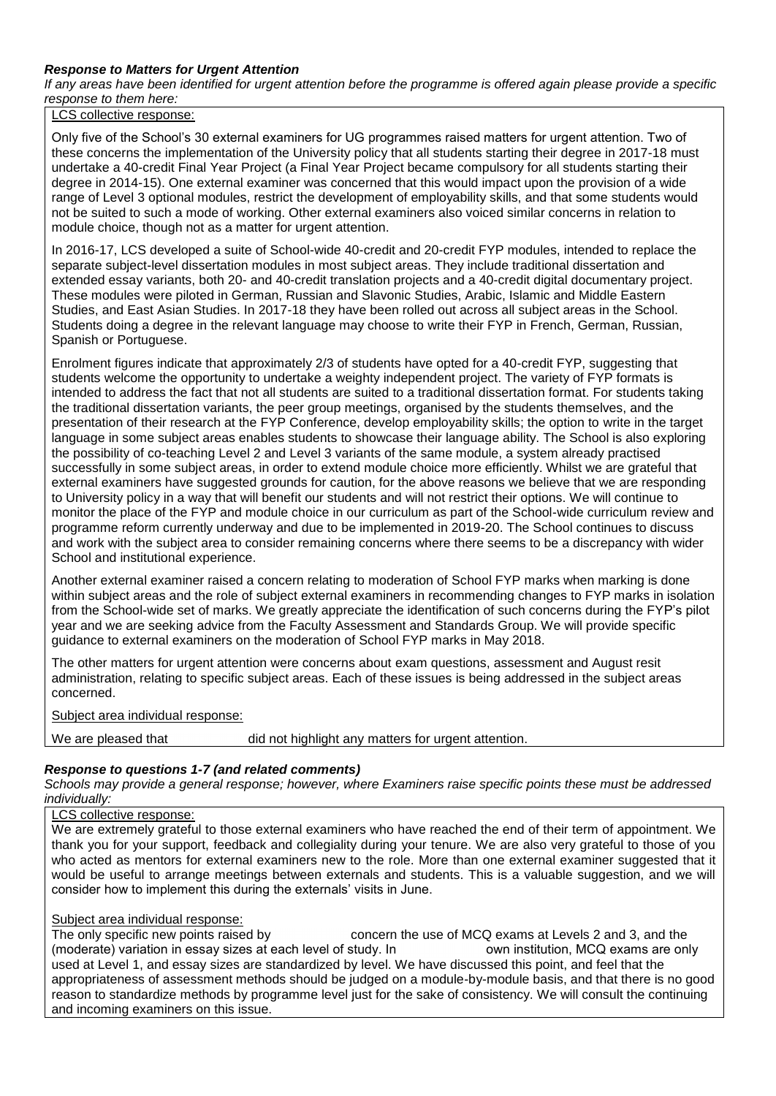# *Response to Matters for Urgent Attention*

*If any areas have been identified for urgent attention before the programme is offered again please provide a specific response to them here:*

LCS collective response:

Only five of the School's 30 external examiners for UG programmes raised matters for urgent attention. Two of these concerns the implementation of the University policy that all students starting their degree in 2017-18 must undertake a 40-credit Final Year Project (a Final Year Project became compulsory for all students starting their degree in 2014-15). One external examiner was concerned that this would impact upon the provision of a wide range of Level 3 optional modules, restrict the development of employability skills, and that some students would not be suited to such a mode of working. Other external examiners also voiced similar concerns in relation to module choice, though not as a matter for urgent attention.

In 2016-17, LCS developed a suite of School-wide 40-credit and 20-credit FYP modules, intended to replace the separate subject-level dissertation modules in most subject areas. They include traditional dissertation and extended essay variants, both 20- and 40-credit translation projects and a 40-credit digital documentary project. These modules were piloted in German, Russian and Slavonic Studies, Arabic, Islamic and Middle Eastern Studies, and East Asian Studies. In 2017-18 they have been rolled out across all subject areas in the School. Students doing a degree in the relevant language may choose to write their FYP in French, German, Russian, Spanish or Portuguese.

Enrolment figures indicate that approximately 2/3 of students have opted for a 40-credit FYP, suggesting that students welcome the opportunity to undertake a weighty independent project. The variety of FYP formats is intended to address the fact that not all students are suited to a traditional dissertation format. For students taking the traditional dissertation variants, the peer group meetings, organised by the students themselves, and the presentation of their research at the FYP Conference, develop employability skills; the option to write in the target language in some subject areas enables students to showcase their language ability. The School is also exploring the possibility of co-teaching Level 2 and Level 3 variants of the same module, a system already practised successfully in some subject areas, in order to extend module choice more efficiently. Whilst we are grateful that external examiners have suggested grounds for caution, for the above reasons we believe that we are responding to University policy in a way that will benefit our students and will not restrict their options. We will continue to monitor the place of the FYP and module choice in our curriculum as part of the School-wide curriculum review and programme reform currently underway and due to be implemented in 2019-20. The School continues to discuss and work with the subject area to consider remaining concerns where there seems to be a discrepancy with wider School and institutional experience.

Another external examiner raised a concern relating to moderation of School FYP marks when marking is done within subject areas and the role of subject external examiners in recommending changes to FYP marks in isolation from the School-wide set of marks. We greatly appreciate the identification of such concerns during the FYP's pilot year and we are seeking advice from the Faculty Assessment and Standards Group. We will provide specific guidance to external examiners on the moderation of School FYP marks in May 2018.

The other matters for urgent attention were concerns about exam questions, assessment and August resit administration, relating to specific subject areas. Each of these issues is being addressed in the subject areas concerned.

Subject area individual response:

We are pleased that did not highlight any matters for urgent attention.

# *Response to questions 1-7 (and related comments)*

*Schools may provide a general response; however, where Examiners raise specific points these must be addressed individually:*

# LCS collective response:

We are extremely grateful to those external examiners who have reached the end of their term of appointment. We thank you for your support, feedback and collegiality during your tenure. We are also very grateful to those of you who acted as mentors for external examiners new to the role. More than one external examiner suggested that it would be useful to arrange meetings between externals and students. This is a valuable suggestion, and we will consider how to implement this during the externals' visits in June.

# Subject area individual response:

The only specific new points raised by concern the use of MCQ exams at Levels 2 and 3, and the (moderate) variation in essay sizes at each level of study. In own institution, MCQ exams are only used at Level 1, and essay sizes are standardized by level. We have discussed this point, and feel that the appropriateness of assessment methods should be judged on a module-by-module basis, and that there is no good reason to standardize methods by programme level just for the sake of consistency. We will consult the continuing and incoming examiners on this issue.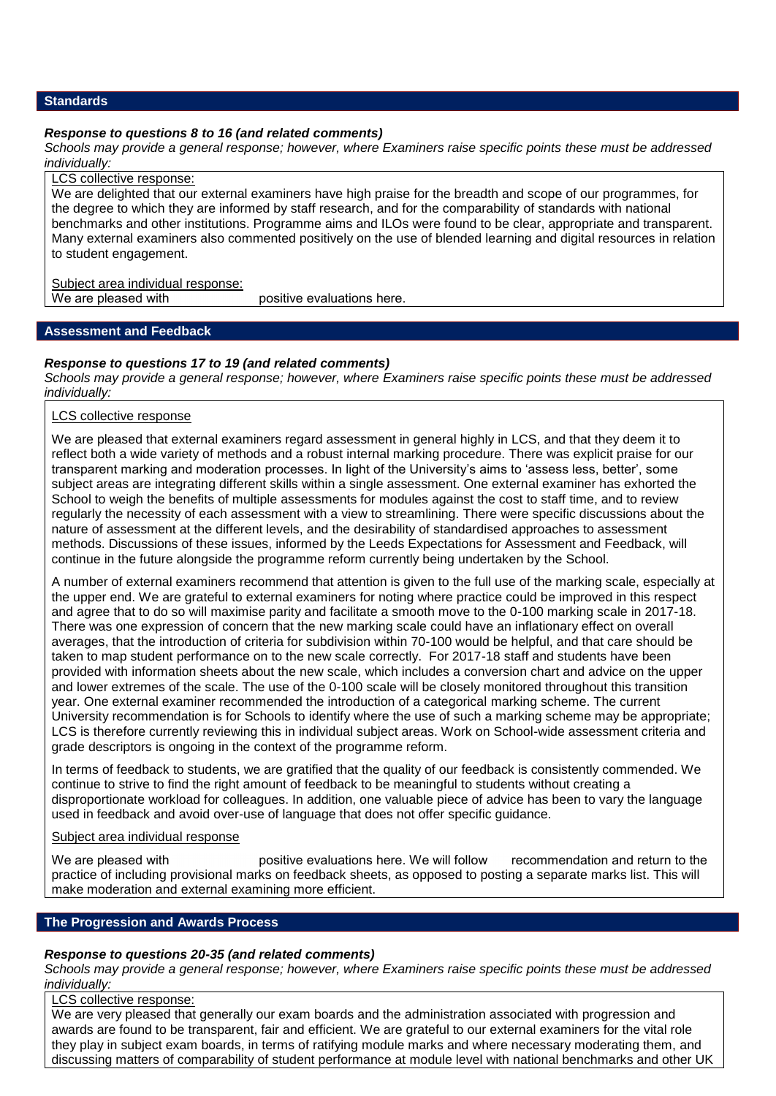# **Standards**

# *Response to questions 8 to 16 (and related comments)*

*Schools may provide a general response; however, where Examiners raise specific points these must be addressed individually:*

# LCS collective response:

We are delighted that our external examiners have high praise for the breadth and scope of our programmes, for the degree to which they are informed by staff research, and for the comparability of standards with national benchmarks and other institutions. Programme aims and ILOs were found to be clear, appropriate and transparent. Many external examiners also commented positively on the use of blended learning and digital resources in relation to student engagement.

# Subject area individual response:<br>We are pleased with

positive evaluations here.

# **Assessment and Feedback**

# *Response to questions 17 to 19 (and related comments)*

*Schools may provide a general response; however, where Examiners raise specific points these must be addressed individually:*

# LCS collective response

We are pleased that external examiners regard assessment in general highly in LCS, and that they deem it to reflect both a wide variety of methods and a robust internal marking procedure. There was explicit praise for our transparent marking and moderation processes. In light of the University's aims to 'assess less, better', some subject areas are integrating different skills within a single assessment. One external examiner has exhorted the School to weigh the benefits of multiple assessments for modules against the cost to staff time, and to review regularly the necessity of each assessment with a view to streamlining. There were specific discussions about the nature of assessment at the different levels, and the desirability of standardised approaches to assessment methods. Discussions of these issues, informed by the Leeds Expectations for Assessment and Feedback, will continue in the future alongside the programme reform currently being undertaken by the School.

A number of external examiners recommend that attention is given to the full use of the marking scale, especially at the upper end. We are grateful to external examiners for noting where practice could be improved in this respect and agree that to do so will maximise parity and facilitate a smooth move to the 0-100 marking scale in 2017-18. There was one expression of concern that the new marking scale could have an inflationary effect on overall averages, that the introduction of criteria for subdivision within 70-100 would be helpful, and that care should be taken to map student performance on to the new scale correctly. For 2017-18 staff and students have been provided with information sheets about the new scale, which includes a conversion chart and advice on the upper and lower extremes of the scale. The use of the 0-100 scale will be closely monitored throughout this transition year. One external examiner recommended the introduction of a categorical marking scheme. The current University recommendation is for Schools to identify where the use of such a marking scheme may be appropriate; LCS is therefore currently reviewing this in individual subject areas. Work on School-wide assessment criteria and grade descriptors is ongoing in the context of the programme reform.

In terms of feedback to students, we are gratified that the quality of our feedback is consistently commended. We continue to strive to find the right amount of feedback to be meaningful to students without creating a disproportionate workload for colleagues. In addition, one valuable piece of advice has been to vary the language used in feedback and avoid over-use of language that does not offer specific guidance.

# Subject area individual response

We are pleased with positive evaluations here. We will follow recommendation and return to the practice of including provisional marks on feedback sheets, as opposed to posting a separate marks list. This will make moderation and external examining more efficient.

# **The Progression and Awards Process**

# *Response to questions 20-35 (and related comments)*

*Schools may provide a general response; however, where Examiners raise specific points these must be addressed individually:*

# LCS collective response:

We are very pleased that generally our exam boards and the administration associated with progression and awards are found to be transparent, fair and efficient. We are grateful to our external examiners for the vital role they play in subject exam boards, in terms of ratifying module marks and where necessary moderating them, and discussing matters of comparability of student performance at module level with national benchmarks and other UK